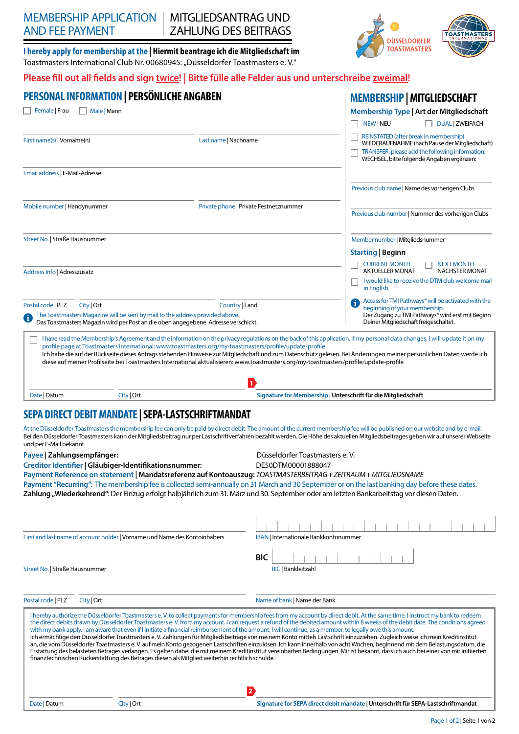# MEMBERSHIP APPLICATION AND FEE PAYMENT

MITGLIEDSANTRAG UND ZAHLUNG DES BEITRAGS

**I hereby apply for membership at the | Hiermit beantrage ich die Mitgliedschaft im** Toastmasters International Club Nr. 00680945: "Düsseldorfer Toastmasters e. V."

## **Please fill out all fields and sign twice! | Bitte fülle alle Felder aus und unterschreibe zweimal!**

| <b>PERSONAL INFORMATION   PERSÖNLICHE ANGABEN</b>                                                                                                                                                                                                                                                                                                                                                                                                                                                                                                                                  |                                        |                                                                | <b>MEMBERSHIP   MITGLIEDSCHAFT</b>                                                                                                                                                                                                                                                                                                                                                                                                                                                                                                                                                                                                                                                                                                                                                                                                                                                                                  |  |
|------------------------------------------------------------------------------------------------------------------------------------------------------------------------------------------------------------------------------------------------------------------------------------------------------------------------------------------------------------------------------------------------------------------------------------------------------------------------------------------------------------------------------------------------------------------------------------|----------------------------------------|----------------------------------------------------------------|---------------------------------------------------------------------------------------------------------------------------------------------------------------------------------------------------------------------------------------------------------------------------------------------------------------------------------------------------------------------------------------------------------------------------------------------------------------------------------------------------------------------------------------------------------------------------------------------------------------------------------------------------------------------------------------------------------------------------------------------------------------------------------------------------------------------------------------------------------------------------------------------------------------------|--|
| Female   Frau<br>Male   Mann                                                                                                                                                                                                                                                                                                                                                                                                                                                                                                                                                       |                                        |                                                                | Membership Type   Art der Mitgliedschaft<br>NEW NEU<br><b>DUAL ZWEIFACH</b>                                                                                                                                                                                                                                                                                                                                                                                                                                                                                                                                                                                                                                                                                                                                                                                                                                         |  |
| First name(s)   Vorname(n)                                                                                                                                                                                                                                                                                                                                                                                                                                                                                                                                                         | Last name   Nachname                   |                                                                | REINSTATED (after break in membership)<br>WIEDERAUFNAHME (nach Pause der Mitgliedschaft)<br>TRANSFER, please add the following information:<br>WECHSEL, bitte folgende Angaben ergänzen:                                                                                                                                                                                                                                                                                                                                                                                                                                                                                                                                                                                                                                                                                                                            |  |
| Email address   E-Mail-Adresse                                                                                                                                                                                                                                                                                                                                                                                                                                                                                                                                                     |                                        |                                                                |                                                                                                                                                                                                                                                                                                                                                                                                                                                                                                                                                                                                                                                                                                                                                                                                                                                                                                                     |  |
|                                                                                                                                                                                                                                                                                                                                                                                                                                                                                                                                                                                    |                                        |                                                                | Previous club name   Name des vorherigen Clubs                                                                                                                                                                                                                                                                                                                                                                                                                                                                                                                                                                                                                                                                                                                                                                                                                                                                      |  |
| Mobile number   Handynummer                                                                                                                                                                                                                                                                                                                                                                                                                                                                                                                                                        | Private phone   Private Festnetznummer |                                                                | Previous club number   Nummer des vorherigen Clubs                                                                                                                                                                                                                                                                                                                                                                                                                                                                                                                                                                                                                                                                                                                                                                                                                                                                  |  |
| Street No.   Straße Hausnummer                                                                                                                                                                                                                                                                                                                                                                                                                                                                                                                                                     |                                        |                                                                | Member number   Mitgliedsnummer                                                                                                                                                                                                                                                                                                                                                                                                                                                                                                                                                                                                                                                                                                                                                                                                                                                                                     |  |
|                                                                                                                                                                                                                                                                                                                                                                                                                                                                                                                                                                                    |                                        |                                                                | <b>Starting   Beginn</b>                                                                                                                                                                                                                                                                                                                                                                                                                                                                                                                                                                                                                                                                                                                                                                                                                                                                                            |  |
|                                                                                                                                                                                                                                                                                                                                                                                                                                                                                                                                                                                    |                                        |                                                                | <b>CURRENT MONTH</b><br><b>NEXT MONTH</b>                                                                                                                                                                                                                                                                                                                                                                                                                                                                                                                                                                                                                                                                                                                                                                                                                                                                           |  |
| Address Info   Adresszusatz                                                                                                                                                                                                                                                                                                                                                                                                                                                                                                                                                        |                                        |                                                                | NÄCHSTER MONAT<br><b>AKTUELLER MONAT</b><br>I would like to receive the DTM club welcome mail<br>in English.                                                                                                                                                                                                                                                                                                                                                                                                                                                                                                                                                                                                                                                                                                                                                                                                        |  |
| City   Ort<br>Postal code   PLZ<br>Country   Land<br>The Toastmasters Magazine will be sent by mail to the address provided above.<br>Das Toastmasters Magazin wird per Post an die oben angegebene Adresse verschickt.                                                                                                                                                                                                                                                                                                                                                            |                                        |                                                                | Access for TMI Pathways® will be activated with the<br>J.<br>beginning of your membership.<br>Der Zugang zu TMI Pathways® wird erst mit Beginn<br>Deiner Mitgliedschaft freigeschaltet.                                                                                                                                                                                                                                                                                                                                                                                                                                                                                                                                                                                                                                                                                                                             |  |
| profile page at Toastmasters International: www.toastmasters.org/my-toastmasters/profile/update-profile<br>diese auf meiner Profilseite bei Toastmasters International aktualisieren: www.toastmasters.org/my-toastmasters/profile/update-profile                                                                                                                                                                                                                                                                                                                                  |                                        | $\mathbf{1}$                                                   | I have read the Membership's Agreement and the information on the privacy regulations on the back of this application. If my personal data changes, I will update it on my<br>Ich habe die auf der Rückseite dieses Antrags stehenden Hinweise zur Mitgliedschaft und zum Datenschutz gelesen. Bei Änderungen meiner persönlichen Daten werde ich                                                                                                                                                                                                                                                                                                                                                                                                                                                                                                                                                                   |  |
| Date   Datum<br>City   Ort                                                                                                                                                                                                                                                                                                                                                                                                                                                                                                                                                         |                                        | Signature for Membership   Unterschrift für die Mitgliedschaft |                                                                                                                                                                                                                                                                                                                                                                                                                                                                                                                                                                                                                                                                                                                                                                                                                                                                                                                     |  |
| SEPA DIRECT DEBIT MANDATE   SEPA-LASTSCHRIFTMANDAT<br>und per E-Mail bekannt.<br>Payee   Zahlungsempfänger:<br>Creditor Identifier   Gläubiger-Identifikationsnummer:<br>Payment Reference on statement   Mandatsreferenz auf Kontoauszug: TOASTMASTERBEITRAG+ZEITRAUM+MITGLIEDSNAME<br>Payment "Recurring": The membership fee is collected semi-annually on 31 March and 30 September or on the last banking day before these dates.<br>Zahlung "Wiederkehrend": Der Einzug erfolgt halbjährlich zum 31. März und 30. September oder am letzten Bankarbeitstag vor diesen Daten. |                                        | Düsseldorfer Toastmasters e.V.<br>DE50DTM00001888047           | At the Düsseldorfer Toastmasters the membership fee can only be paid by direct debit. The amount of the current membership fee will be published on our website and by e-mail.<br>Bei den Düsseldorfer Toastmasters kann der Mitgliedsbeitrag nur per Lastschriftverfahren bezahlt werden. Die Höhe des aktuellen Mitgliedsbeitrages geben wir auf unserer Webseite                                                                                                                                                                                                                                                                                                                                                                                                                                                                                                                                                 |  |
|                                                                                                                                                                                                                                                                                                                                                                                                                                                                                                                                                                                    |                                        |                                                                |                                                                                                                                                                                                                                                                                                                                                                                                                                                                                                                                                                                                                                                                                                                                                                                                                                                                                                                     |  |
| IBAN   Internationale Bankkontonummer<br>First and last name of account holder   Vorname und Name des Kontoinhabers                                                                                                                                                                                                                                                                                                                                                                                                                                                                |                                        |                                                                |                                                                                                                                                                                                                                                                                                                                                                                                                                                                                                                                                                                                                                                                                                                                                                                                                                                                                                                     |  |
| Street No.   Straße Hausnummer                                                                                                                                                                                                                                                                                                                                                                                                                                                                                                                                                     |                                        | <b>BIC</b><br><b>BIC   Bankleitzahl</b>                        |                                                                                                                                                                                                                                                                                                                                                                                                                                                                                                                                                                                                                                                                                                                                                                                                                                                                                                                     |  |
| Postal code   PLZ<br>City   Ort                                                                                                                                                                                                                                                                                                                                                                                                                                                                                                                                                    |                                        | Name of bank   Name der Bank                                   |                                                                                                                                                                                                                                                                                                                                                                                                                                                                                                                                                                                                                                                                                                                                                                                                                                                                                                                     |  |
| with my bank apply. I am aware that even if I initiate a financial reimbursement of the amount, I will continue, as a member, to legally owe this amount.<br>finanztechnischen Rückerstattung des Betrages diesen als Mitglied weiterhin rechtlich schulde.                                                                                                                                                                                                                                                                                                                        |                                        |                                                                | I hereby authorize the Düsseldorfer Toastmasters e.V. to collect payments for membership fees from my account by direct debit. At the same time, I instruct my bank to redeem<br>the direct debits drawn by Düsseldorfer Toastmasters e. V. from my account. I can request a refund of the debited amount within 8 weeks of the debit date. The conditions agreed<br>Ich ermächtige den Düsseldorfer Toastmasters e. V. Zahlungen für Mitgliedsbeiträge von meinem Konto mittels Lastschrift einzuziehen. Zugleich weise ich mein Kreditinstitut<br>an, die vom Düsseldorfer Toastmasters e. V. auf mein Konto gezogenen Lastschriften einzulösen. Ich kann innerhalb von acht Wochen, beginnend mit dem Belastungsdatum, die<br>Erstattung des belasteten Betrages verlangen. Es gelten dabei die mit meinem Kreditinstitut vereinbarten Bedingungen. Mir ist bekannt, dass ich auch bei einer von mir initiierten |  |
| Date   Datum<br>City   Ort                                                                                                                                                                                                                                                                                                                                                                                                                                                                                                                                                         |                                        | 2                                                              | Signature for SEPA direct debit mandate   Unterschrift für SEPA-Lastschriftmandat                                                                                                                                                                                                                                                                                                                                                                                                                                                                                                                                                                                                                                                                                                                                                                                                                                   |  |
|                                                                                                                                                                                                                                                                                                                                                                                                                                                                                                                                                                                    |                                        |                                                                |                                                                                                                                                                                                                                                                                                                                                                                                                                                                                                                                                                                                                                                                                                                                                                                                                                                                                                                     |  |

TOAS

**DÜSSELDORFER TOASTMASTERS**